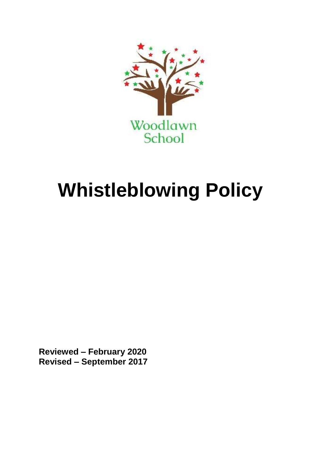

# **Whistleblowing Policy**

**Reviewed – February 2020 Revised – September 2017**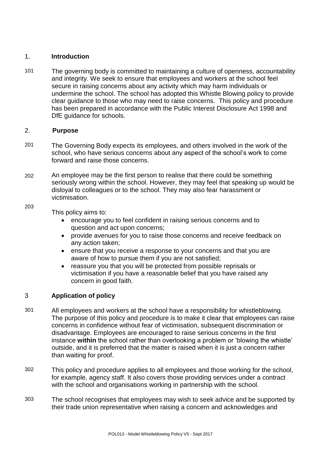#### 1. **Introduction**

101 The governing body is committed to maintaining a culture of openness, accountability and integrity. We seek to ensure that employees and workers at the school feel secure in raising concerns about any activity which may harm individuals or undermine the school. The school has adopted this Whistle Blowing policy to provide clear guidance to those who may need to raise concerns. This policy and procedure has been prepared in accordance with the Public Interest Disclosure Act 1998 and DfE quidance for schools.

# 2. **Purpose**

- 201 The Governing Body expects its employees, and others involved in the work of the school, who have serious concerns about any aspect of the school's work to come forward and raise those concerns.
- 202 An employee may be the first person to realise that there could be something seriously wrong within the school. However, they may feel that speaking up would be disloyal to colleagues or to the school. They may also fear harassment or victimisation.

203

This policy aims to:

- encourage you to feel confident in raising serious concerns and to question and act upon concerns;
- provide avenues for you to raise those concerns and receive feedback on any action taken;
- ensure that you receive a response to your concerns and that you are aware of how to pursue them if you are not satisfied;
- reassure you that you will be protected from possible reprisals or victimisation if you have a reasonable belief that you have raised any concern in good faith.

# 3 **Application of policy**

- 301 All employees and workers at the school have a responsibility for whistleblowing. The purpose of this policy and procedure is to make it clear that employees can raise concerns in confidence without fear of victimisation, subsequent discrimination or disadvantage. Employees are encouraged to raise serious concerns in the first instance **within** the school rather than overlooking a problem or 'blowing the whistle' outside, and it is preferred that the matter is raised when it is just a concern rather than waiting for proof.
- 302 This policy and procedure applies to all employees and those working for the school, for example, agency staff. It also covers those providing services under a contract with the school and organisations working in partnership with the school.
- 303 The school recognises that employees may wish to seek advice and be supported by their trade union representative when raising a concern and acknowledges and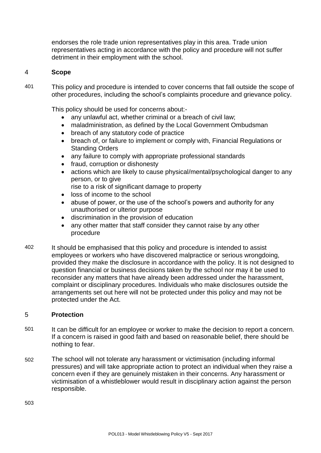endorses the role trade union representatives play in this area. Trade union representatives acting in accordance with the policy and procedure will not suffer detriment in their employment with the school.

# 4 **Scope**

401 This policy and procedure is intended to cover concerns that fall outside the scope of other procedures, including the school's complaints procedure and grievance policy.

This policy should be used for concerns about:-

- any unlawful act, whether criminal or a breach of civil law;
- maladministration, as defined by the Local Government Ombudsman
- breach of any statutory code of practice
- breach of, or failure to implement or comply with, Financial Regulations or Standing Orders
- any failure to comply with appropriate professional standards
- fraud, corruption or dishonesty
- actions which are likely to cause physical/mental/psychological danger to any person, or to give

rise to a risk of significant damage to property

- loss of income to the school
- abuse of power, or the use of the school's powers and authority for any unauthorised or ulterior purpose
- discrimination in the provision of education
- any other matter that staff consider they cannot raise by any other procedure
- 402 It should be emphasised that this policy and procedure is intended to assist employees or workers who have discovered malpractice or serious wrongdoing, provided they make the disclosure in accordance with the policy. It is not designed to question financial or business decisions taken by the school nor may it be used to reconsider any matters that have already been addressed under the harassment, complaint or disciplinary procedures. Individuals who make disclosures outside the arrangements set out here will not be protected under this policy and may not be protected under the Act.

# 5 **Protection**

- 501 It can be difficult for an employee or worker to make the decision to report a concern. If a concern is raised in good faith and based on reasonable belief, there should be nothing to fear.
- 502 The school will not tolerate any harassment or victimisation (including informal pressures) and will take appropriate action to protect an individual when they raise a concern even if they are genuinely mistaken in their concerns. Any harassment or victimisation of a whistleblower would result in disciplinary action against the person responsible.

503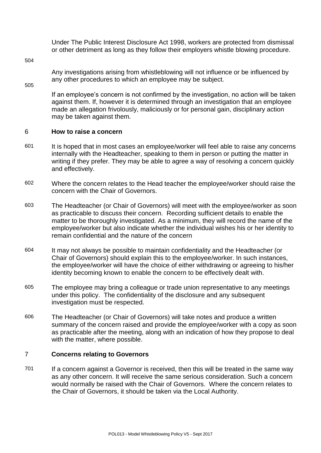Under The Public Interest Disclosure Act 1998, workers are protected from dismissal or other detriment as long as they follow their employers whistle blowing procedure.

504

Any investigations arising from whistleblowing will not influence or be influenced by any other procedures to which an employee may be subject.

505

If an employee's concern is not confirmed by the investigation, no action will be taken against them. If, however it is determined through an investigation that an employee made an allegation frivolously, maliciously or for personal gain, disciplinary action may be taken against them.

## 6 **How to raise a concern**

- 601 It is hoped that in most cases an employee/worker will feel able to raise any concerns internally with the Headteacher, speaking to them in person or putting the matter in writing if they prefer. They may be able to agree a way of resolving a concern quickly and effectively.
- 602 Where the concern relates to the Head teacher the employee/worker should raise the concern with the Chair of Governors.
- 603 The Headteacher (or Chair of Governors) will meet with the employee/worker as soon as practicable to discuss their concern. Recording sufficient details to enable the matter to be thoroughly investigated. As a minimum, they will record the name of the employee/worker but also indicate whether the individual wishes his or her identity to remain confidential and the nature of the concern
- 604 It may not always be possible to maintain confidentiality and the Headteacher (or Chair of Governors) should explain this to the employee/worker. In such instances, the employee/worker will have the choice of either withdrawing or agreeing to his/her identity becoming known to enable the concern to be effectively dealt with.
- 605 The employee may bring a colleague or trade union representative to any meetings under this policy. The confidentiality of the disclosure and any subsequent investigation must be respected.
- 606 The Headteacher (or Chair of Governors) will take notes and produce a written summary of the concern raised and provide the employee/worker with a copy as soon as practicable after the meeting, along with an indication of how they propose to deal with the matter, where possible.

#### 7 **Concerns relating to Governors**

701 If a concern against a Governor is received, then this will be treated in the same way as any other concern. It will receive the same serious consideration. Such a concern would normally be raised with the Chair of Governors. Where the concern relates to the Chair of Governors, it should be taken via the Local Authority.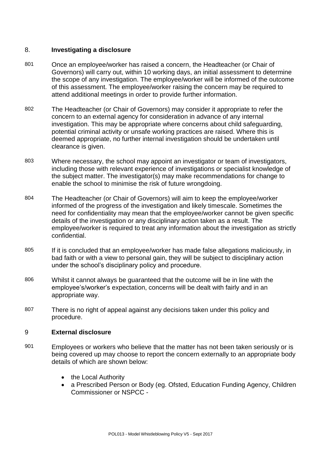# 8. **Investigating a disclosure**

- 801 Once an employee/worker has raised a concern, the Headteacher (or Chair of Governors) will carry out, within 10 working days, an initial assessment to determine the scope of any investigation. The employee/worker will be informed of the outcome of this assessment. The employee/worker raising the concern may be required to attend additional meetings in order to provide further information.
- 802 The Headteacher (or Chair of Governors) may consider it appropriate to refer the concern to an external agency for consideration in advance of any internal investigation. This may be appropriate where concerns about child safeguarding, potential criminal activity or unsafe working practices are raised. Where this is deemed appropriate, no further internal investigation should be undertaken until clearance is given.
- 803 Where necessary, the school may appoint an investigator or team of investigators, including those with relevant experience of investigations or specialist knowledge of the subject matter. The investigator(s) may make recommendations for change to enable the school to minimise the risk of future wrongdoing.
- 804 The Headteacher (or Chair of Governors) will aim to keep the employee/worker informed of the progress of the investigation and likely timescale. Sometimes the need for confidentiality may mean that the employee/worker cannot be given specific details of the investigation or any disciplinary action taken as a result. The employee/worker is required to treat any information about the investigation as strictly confidential.
- 805 If it is concluded that an employee/worker has made false allegations maliciously, in bad faith or with a view to personal gain, they will be subject to disciplinary action under the school's disciplinary policy and procedure.
- 806 Whilst it cannot always be guaranteed that the outcome will be in line with the employee's/worker's expectation, concerns will be dealt with fairly and in an appropriate way.
- 807 There is no right of appeal against any decisions taken under this policy and procedure.

## 9 **External disclosure**

- 901 Employees or workers who believe that the matter has not been taken seriously or is being covered up may choose to report the concern externally to an appropriate body details of which are shown below:
	- the Local Authority
	- a Prescribed Person or Body (eg. Ofsted, Education Funding Agency, Children Commissioner or NSPCC -